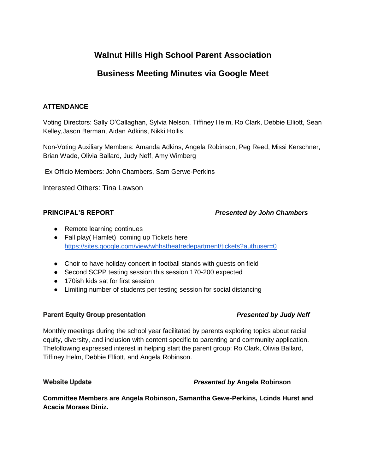# **Walnut Hills High School Parent Association**

# **Business Meeting Minutes via Google Meet**

# **ATTENDANCE**

Voting Directors: Sally O'Callaghan, Sylvia Nelson, Tiffiney Helm, Ro Clark, Debbie Elliott, Sean Kelley,Jason Berman, Aidan Adkins, Nikki Hollis

Non-Voting Auxiliary Members: Amanda Adkins, Angela Robinson, Peg Reed, Missi Kerschner, Brian Wade, Olivia Ballard, Judy Neff, Amy Wimberg

Ex Officio Members: John Chambers, Sam Gerwe-Perkins

Interested Others: Tina Lawson

# **PRINCIPAL'S REPORT** *Presented by John Chambers*

- Remote learning continues
- Fall play( Hamlet) coming up Tickets here <https://sites.google.com/view/whhstheatredepartment/tickets?authuser=0>
- Choir to have holiday concert in football stands with guests on field
- Second SCPP testing session this session 170-200 expected
- 170ish kids sat for first session
- Limiting number of students per testing session for social distancing

# **Parent Equity Group presentation** *Presented by Judy Neff*

Monthly meetings during the school year facilitated by parents exploring topics about racial equity, diversity, and inclusion with content specific to parenting and community application. Thefollowing expressed interest in helping start the parent group: Ro Clark, Olivia Ballard, Tiffiney Helm, Debbie Elliott, and Angela Robinson.

# **Website Update** *Presented by* **Angela Robinson**

**Committee Members are Angela Robinson, Samantha Gewe-Perkins, Lcinds Hurst and Acacia Moraes Diniz.**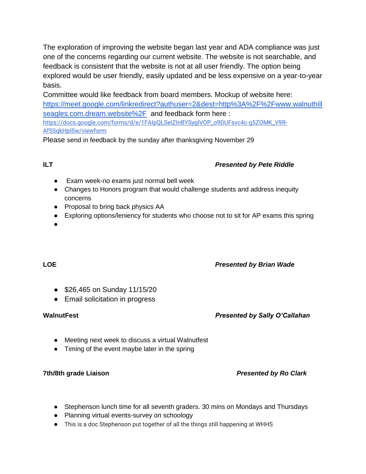The exploration of improving the website began last year and ADA compliance was just one of the concerns regarding our current website. The website is not searchable, and feedback is consistent that the website is not at all user friendly. The option being explored would be user friendly, easily updated and be less expensive on a year-to-year basis.

Committee would like feedback from board members. Mockup of website here: [https://meet.google.com/linkredirect?authuser=2&dest=http%3A%2F%2Fwww.walnuthill](https://meet.google.com/linkredirect?authuser=2&dest=http%3A%2F%2Fwww.walnuthillseagles.com.dream.website%2F) [seagles.com.dream.website%2F](https://meet.google.com/linkredirect?authuser=2&dest=http%3A%2F%2Fwww.walnuthillseagles.com.dream.website%2F) and feedback form here : [https://docs.google.com/forms/d/e/1FAIpQLSeIZInBYSyglVOP\\_o9DUFsvc4c-g5ZOMK\\_V9R-](https://meet.google.com/linkredirect?authuser=2&dest=https%3A%2F%2Fdocs.google.com%2Fforms%2Fd%2Fe%2F1FAIpQLSeIZInBYSyglVOP_o9DUFsvc4c-g5ZOMK_V9R-Af5SqkHpiSw%2Fviewform)[Af5SqkHpiSw/viewform](https://meet.google.com/linkredirect?authuser=2&dest=https%3A%2F%2Fdocs.google.com%2Fforms%2Fd%2Fe%2F1FAIpQLSeIZInBYSyglVOP_o9DUFsvc4c-g5ZOMK_V9R-Af5SqkHpiSw%2Fviewform)

Please send in feedback by the sunday after thanksgiving November 29

# **ILT** *Presented by Pete Riddle*

- Exam week-no exams just normal bell week
- Changes to Honors program that would challenge students and address inequity concerns
- Proposal to bring back physics AA
- Exploring options/leniency for students who choose not to sit for AP exams this spring
- ●

# **LOE** *Presented by Brian Wade*

- \$26,465 on Sunday 11/15/20
- Email solicitation in progress

# **WalnutFest** *Presented by Sally O'Callahan*

- Meeting next week to discuss a virtual Walnutfest
- Timing of the event maybe later in the spring

# **7th/8th grade Liaison** *Presented by Ro Clark*

- Stephenson lunch time for all seventh graders. 30 mins on Mondays and Thursdays
- Planning virtual events-survey on schoology
- This is a doc Stephenson put together of all the things still happening at WHHS